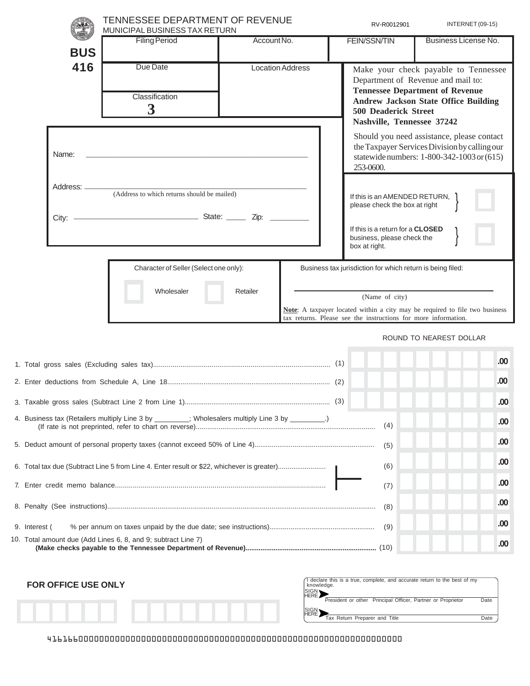|                                                                                                                                                                                                                                                                                                                | <b>TENNESSEE DEPARTMENT OF REVENUE</b><br>MUNICIPAL BUSINESS TAX RETURN                    |                         | RV-R0012901 | INTERNET (09-15)                                                                                                                               |                                                                                                                                                                     |
|----------------------------------------------------------------------------------------------------------------------------------------------------------------------------------------------------------------------------------------------------------------------------------------------------------------|--------------------------------------------------------------------------------------------|-------------------------|-------------|------------------------------------------------------------------------------------------------------------------------------------------------|---------------------------------------------------------------------------------------------------------------------------------------------------------------------|
| <b>BUS</b>                                                                                                                                                                                                                                                                                                     | <b>Filing Period</b>                                                                       | Account No.             |             | <b>FEIN/SSN/TIN</b>                                                                                                                            | Business License No.                                                                                                                                                |
| 416                                                                                                                                                                                                                                                                                                            | Due Date<br>Classification<br>$\boldsymbol{3}$                                             | <b>Location Address</b> |             | <b>500 Deaderick Street</b><br>Nashville, Tennessee 37242                                                                                      | Make your check payable to Tennessee<br>Department of Revenue and mail to:<br><b>Tennessee Department of Revenue</b><br><b>Andrew Jackson State Office Building</b> |
| Name:                                                                                                                                                                                                                                                                                                          |                                                                                            |                         |             | 253-0600.                                                                                                                                      | Should you need assistance, please contact<br>the Taxpayer Services Division by calling our<br>statewide numbers: 1-800-342-1003 or (615)                           |
| Address: _<br>(Address to which returns should be mailed)<br><u> State: Zip: 2000 Nicolate: Zip: 2000 Nicolate: 2000 Nicolate: 2000 Nicolate: 2000 Nicolate: 2000 Nicolate: 2000 Nicolate: 2000 Nicolate: 2000 Nicolate: 2000 Nicolate: 2000 Nicolate: 2000 Nicolate: 2000 Nicolate: 2000 Nic</u><br>$City:$ — |                                                                                            |                         |             | If this is an AMENDED RETURN,<br>please check the box at right                                                                                 |                                                                                                                                                                     |
|                                                                                                                                                                                                                                                                                                                |                                                                                            |                         |             | If this is a return for a CLOSED<br>business, please check the<br>box at right.                                                                |                                                                                                                                                                     |
|                                                                                                                                                                                                                                                                                                                | Character of Seller (Select one only):<br>Wholesaler                                       | Retailer                |             | Business tax jurisdiction for which return is being filed:<br>(Name of city)<br>tax returns. Please see the instructions for more information. | Note: A taxpayer located within a city may be required to file two business                                                                                         |
|                                                                                                                                                                                                                                                                                                                |                                                                                            |                         |             |                                                                                                                                                | ROUND TO NEAREST DOLLAR                                                                                                                                             |
|                                                                                                                                                                                                                                                                                                                |                                                                                            |                         |             |                                                                                                                                                | .00                                                                                                                                                                 |
|                                                                                                                                                                                                                                                                                                                |                                                                                            |                         |             |                                                                                                                                                | .00                                                                                                                                                                 |
|                                                                                                                                                                                                                                                                                                                |                                                                                            |                         |             |                                                                                                                                                | .00                                                                                                                                                                 |
| 4. Business tax (Retailers multiply Line 3 by ________; Wholesalers multiply Line 3 by ________.)                                                                                                                                                                                                              |                                                                                            |                         |             | (4)                                                                                                                                            | .00                                                                                                                                                                 |
|                                                                                                                                                                                                                                                                                                                |                                                                                            |                         |             | (5)                                                                                                                                            | .00                                                                                                                                                                 |
|                                                                                                                                                                                                                                                                                                                | 6. Total tax due (Subtract Line 5 from Line 4. Enter result or \$22, whichever is greater) |                         | (6)         | .00                                                                                                                                            |                                                                                                                                                                     |
|                                                                                                                                                                                                                                                                                                                |                                                                                            |                         |             | (7)                                                                                                                                            | .00                                                                                                                                                                 |
|                                                                                                                                                                                                                                                                                                                |                                                                                            |                         | (8)         | .00                                                                                                                                            |                                                                                                                                                                     |
| 9. Interest (                                                                                                                                                                                                                                                                                                  |                                                                                            |                         | (9)         | .00                                                                                                                                            |                                                                                                                                                                     |
| 10. Total amount due (Add Lines 6, 8, and 9; subtract Line 7)                                                                                                                                                                                                                                                  |                                                                                            |                         |             |                                                                                                                                                | .00                                                                                                                                                                 |



| $\bigcap$ declare this is a true, complete, and accurate return to the best of my<br>  knowledge.<br><b>SIGN</b> |      |  |  |  |
|------------------------------------------------------------------------------------------------------------------|------|--|--|--|
| President or other Principal Officer, Partner or Proprietor                                                      | Date |  |  |  |
| SIGN <sub>1</sub>                                                                                                |      |  |  |  |
| Tax Return Preparer and Title                                                                                    | Date |  |  |  |

41616600000000000000000000000000000000000000000000000000000000000000